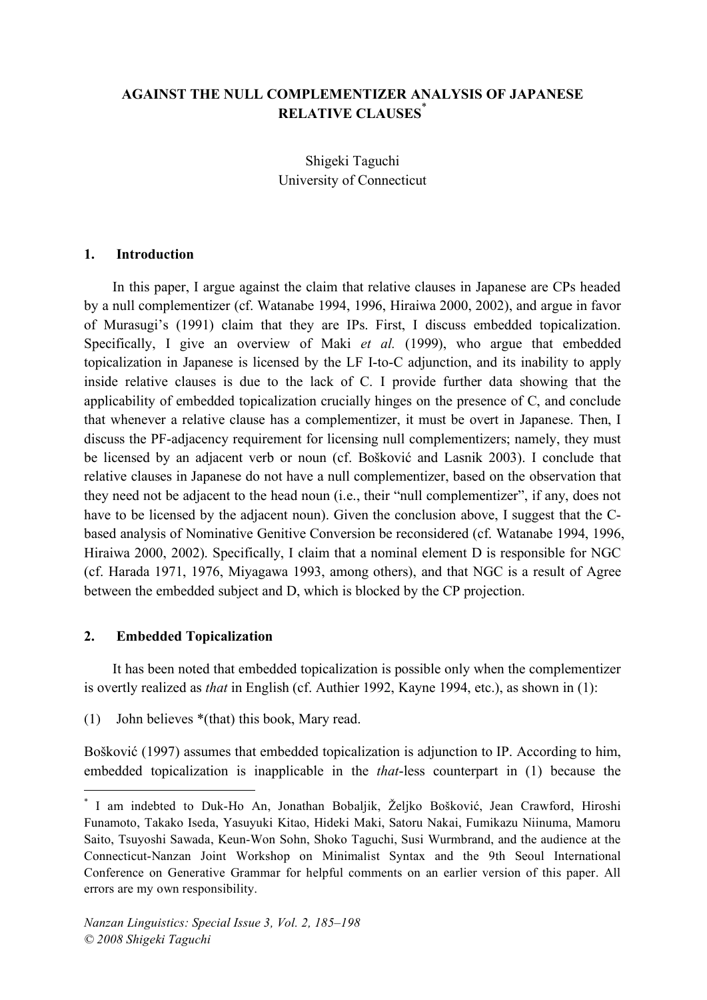# **AGAINST THE NULL COMPLEMENTIZER ANALYSIS OF JAPANESE RELATIVE CLAUSES**\*

Shigeki Taguchi University of Connecticut

#### **1. Introduction**

In this paper, I argue against the claim that relative clauses in Japanese are CPs headed by a null complementizer (cf. Watanabe 1994, 1996, Hiraiwa 2000, 2002), and argue in favor of Murasugi's (1991) claim that they are IPs. First, I discuss embedded topicalization. Specifically, I give an overview of Maki *et al.* (1999), who argue that embedded topicalization in Japanese is licensed by the LF I-to-C adjunction, and its inability to apply inside relative clauses is due to the lack of C. I provide further data showing that the applicability of embedded topicalization crucially hinges on the presence of C, and conclude that whenever a relative clause has a complementizer, it must be overt in Japanese. Then, I discuss the PF-adjacency requirement for licensing null complementizers; namely, they must be licensed by an adjacent verb or noun (cf. Bošković and Lasnik 2003). I conclude that relative clauses in Japanese do not have a null complementizer, based on the observation that they need not be adjacent to the head noun (i.e., their "null complementizer", if any, does not have to be licensed by the adjacent noun). Given the conclusion above, I suggest that the Cbased analysis of Nominative Genitive Conversion be reconsidered (cf. Watanabe 1994, 1996, Hiraiwa 2000, 2002). Specifically, I claim that a nominal element D is responsible for NGC (cf. Harada 1971, 1976, Miyagawa 1993, among others), and that NGC is a result of Agree between the embedded subject and D, which is blocked by the CP projection.

### **2. Embedded Topicalization**

It has been noted that embedded topicalization is possible only when the complementizer is overtly realized as *that* in English (cf. Authier 1992, Kayne 1994, etc.), as shown in (1):

(1) John believes \*(that) this book, Mary read.

Bošković (1997) assumes that embedded topicalization is adjunction to IP. According to him, embedded topicalization is inapplicable in the *that*-less counterpart in (1) because the

 <sup>\*</sup> I am indebted to Duk-Ho An, Jonathan Bobaljik, <sup>Ž</sup>eljko Bošković, Jean Crawford, Hiroshi Funamoto, Takako Iseda, Yasuyuki Kitao, Hideki Maki, Satoru Nakai, Fumikazu Niinuma, Mamoru Saito, Tsuyoshi Sawada, Keun-Won Sohn, Shoko Taguchi, Susi Wurmbrand, and the audience at the Connecticut-Nanzan Joint Workshop on Minimalist Syntax and the 9th Seoul International Conference on Generative Grammar for helpful comments on an earlier version of this paper. All errors are my own responsibility.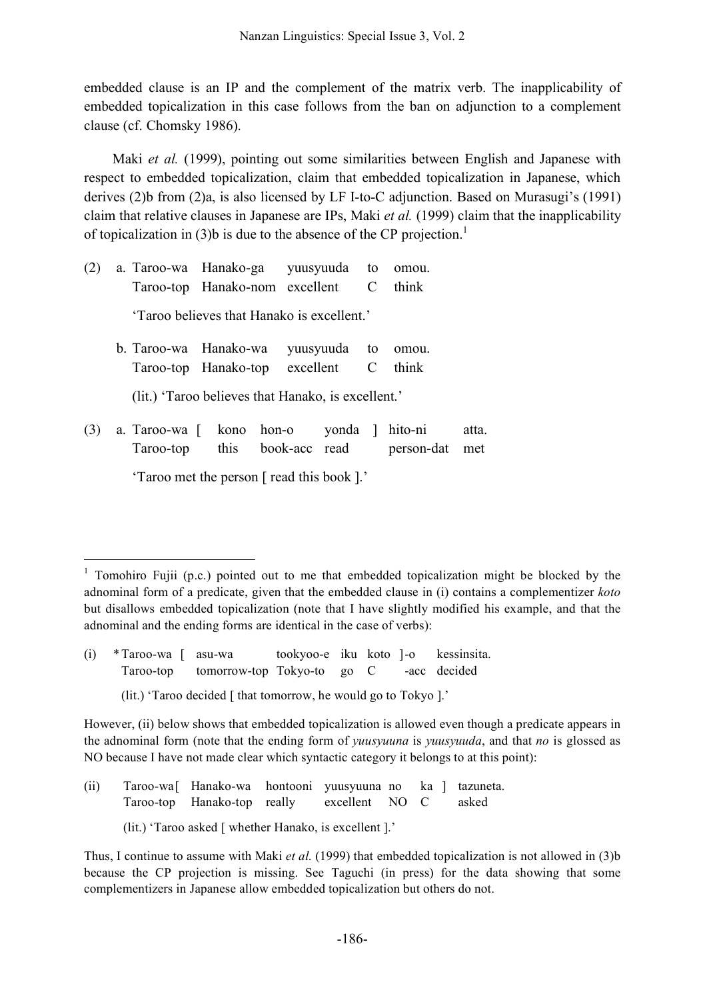embedded clause is an IP and the complement of the matrix verb. The inapplicability of embedded topicalization in this case follows from the ban on adjunction to a complement clause (cf. Chomsky 1986).

Maki *et al.* (1999), pointing out some similarities between English and Japanese with respect to embedded topicalization, claim that embedded topicalization in Japanese, which derives (2)b from (2)a, is also licensed by LF I-to-C adjunction. Based on Murasugi's (1991) claim that relative clauses in Japanese are IPs, Maki *et al.* (1999) claim that the inapplicability of topicalization in (3)b is due to the absence of the CP projection.<sup>1</sup>

| (2) | a. Taroo-wa Hanako-ga yuusyuuda to omou.          |  |  |                                             |       |
|-----|---------------------------------------------------|--|--|---------------------------------------------|-------|
|     | Taroo-top Hanako-nom excellent C think            |  |  |                                             |       |
|     | 'Taroo believes that Hanako is excellent.'        |  |  |                                             |       |
|     | b. Taroo-wa Hanako-wa                             |  |  | yuusyuuda to omou.                          |       |
|     | Taroo-top Hanako-top excellent C think            |  |  |                                             |       |
|     | (lit.) Taroo believes that Hanako, is excellent.' |  |  |                                             |       |
| (3) | a. Taroo-wa [ kono hon-o yonda ]                  |  |  | hito-ni                                     | atta. |
|     |                                                   |  |  | Taroo-top this book-acc read person-dat met |       |
|     |                                                   |  |  |                                             |       |

'Taroo met the person [ read this book ].'

(lit.) 'Taroo decided [ that tomorrow, he would go to Tokyo ].'

- (ii) Taroo-wa[ Hanako-wa hontooni yuusyuuna no ka ] tazuneta. Taroo-top Hanako-top really excellent NO C asked
	- (lit.) 'Taroo asked [ whether Hanako, is excellent ].'

<sup>&</sup>lt;sup>1</sup> Tomohiro Fujii (p.c.) pointed out to me that embedded topicalization might be blocked by the adnominal form of a predicate, given that the embedded clause in (i) contains a complementizer *koto* but disallows embedded topicalization (note that I have slightly modified his example, and that the adnominal and the ending forms are identical in the case of verbs):

<sup>(</sup>i) \*Taroo-wa [ asu-wa tookyoo-e iku koto ]-o kessinsita. Taroo-top tomorrow-top Tokyo-to go C -acc decided

However, (ii) below shows that embedded topicalization is allowed even though a predicate appears in the adnominal form (note that the ending form of *yuusyuuna* is *yuusyuuda*, and that *no* is glossed as NO because I have not made clear which syntactic category it belongs to at this point):

Thus, I continue to assume with Maki *et al.* (1999) that embedded topicalization is not allowed in (3)b because the CP projection is missing. See Taguchi (in press) for the data showing that some complementizers in Japanese allow embedded topicalization but others do not.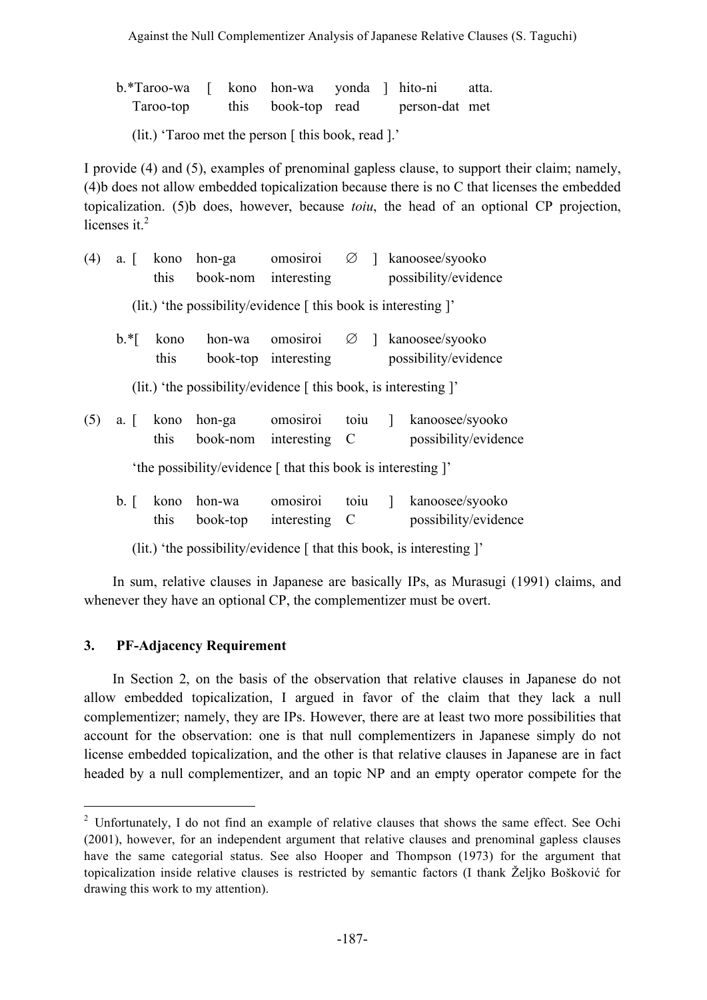b.\*Taroo-wa [ kono hon-wa yonda ] hito-ni atta. Taroo-top this book-top read person-dat met

(lit.) 'Taroo met the person [ this book, read ].'

I provide (4) and (5), examples of prenominal gapless clause, to support their claim; namely, (4)b does not allow embedded topicalization because there is no C that licenses the embedded topicalization. (5)b does, however, because *toiu*, the head of an optional CP projection, licenses it.<sup>2</sup>

| (4) | $a. \Box$                                                    | kono<br>this      | hon-ga<br>book-nom                                                            | omosiroi<br>interesting          | $\varnothing$ 1 |  | kanoosee/syooko<br>possibility/evidence                             |  |  |  |  |
|-----|--------------------------------------------------------------|-------------------|-------------------------------------------------------------------------------|----------------------------------|-----------------|--|---------------------------------------------------------------------|--|--|--|--|
|     |                                                              |                   | (lit.) 'the possibility/evidence $\lceil$ this book is interesting $\rceil$ ' |                                  |                 |  |                                                                     |  |  |  |  |
|     | $\mathbf{b}.*$                                               | kono<br>this      | hon-wa                                                                        | omosiroi<br>book-top interesting |                 |  | $\varnothing$ ] kanoosee/syooko<br>possibility/evidence             |  |  |  |  |
|     |                                                              |                   | (lit.) 'the possibility/evidence [this book, is interesting ]'                |                                  |                 |  |                                                                     |  |  |  |  |
| (5) |                                                              | a. [ kono<br>this | hon-ga<br>book-nom                                                            | omosiroi<br>interesting C        | toiu $\vert$    |  | kanoosee/syooko<br>possibility/evidence                             |  |  |  |  |
|     | 'the possibility/evidence [ that this book is interesting ]' |                   |                                                                               |                                  |                 |  |                                                                     |  |  |  |  |
|     | $\mathbf{b}$ .                                               | kono<br>this      | hon-wa<br>book-top                                                            | omosiroi<br>interesting C        | toiu ]          |  | kanoosee/syooko<br>possibility/evidence                             |  |  |  |  |
|     |                                                              |                   |                                                                               |                                  |                 |  | (lit.) 'the possibility/evidence [that this book, is interesting ]' |  |  |  |  |

In sum, relative clauses in Japanese are basically IPs, as Murasugi (1991) claims, and whenever they have an optional CP, the complementizer must be overt.

## **3. PF-Adjacency Requirement**

In Section 2, on the basis of the observation that relative clauses in Japanese do not allow embedded topicalization, I argued in favor of the claim that they lack a null complementizer; namely, they are IPs. However, there are at least two more possibilities that account for the observation: one is that null complementizers in Japanese simply do not license embedded topicalization, and the other is that relative clauses in Japanese are in fact headed by a null complementizer, and an topic NP and an empty operator compete for the

<sup>&</sup>lt;sup>2</sup> Unfortunately, I do not find an example of relative clauses that shows the same effect. See Ochi (2001), however, for an independent argument that relative clauses and prenominal gapless clauses have the same categorial status. See also Hooper and Thompson (1973) for the argument that topicalization inside relative clauses is restricted by semantic factors (I thank Željko Bošković for drawing this work to my attention).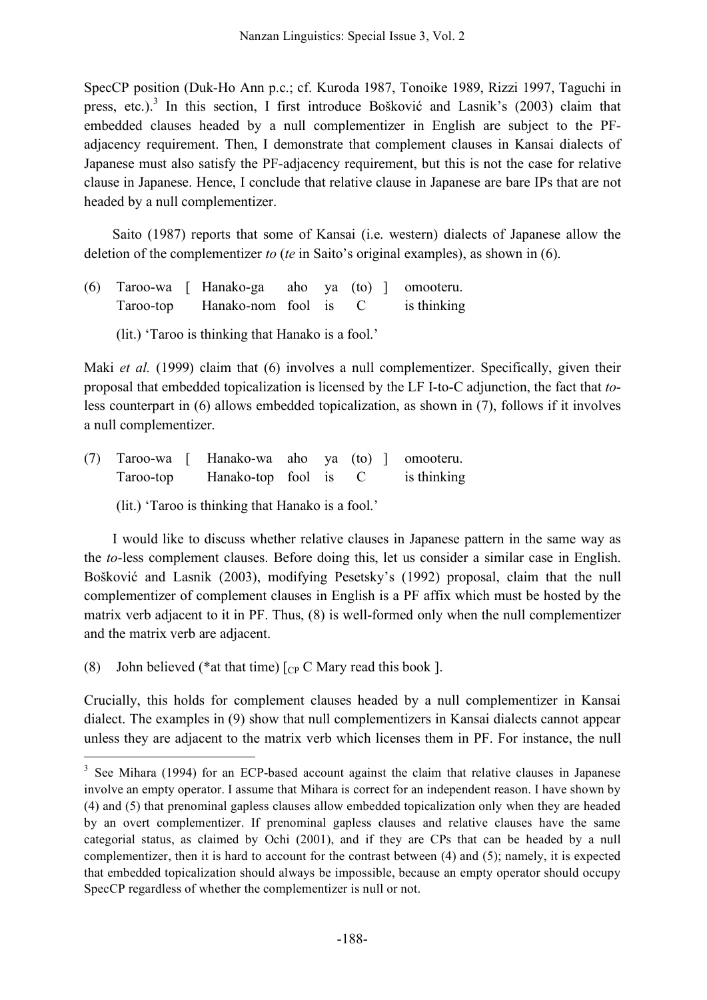SpecCP position (Duk-Ho Ann p.c.; cf. Kuroda 1987, Tonoike 1989, Rizzi 1997, Taguchi in press, etc.).<sup>3</sup> In this section, I first introduce Bošković and Lasnik's (2003) claim that embedded clauses headed by a null complementizer in English are subject to the PFadjacency requirement. Then, I demonstrate that complement clauses in Kansai dialects of Japanese must also satisfy the PF-adjacency requirement, but this is not the case for relative clause in Japanese. Hence, I conclude that relative clause in Japanese are bare IPs that are not headed by a null complementizer.

Saito (1987) reports that some of Kansai (i.e. western) dialects of Japanese allow the deletion of the complementizer *to* (*te* in Saito's original examples), as shown in (6).

- (6) Taroo-wa [ Hanako-ga aho ya (to) ] omooteru. Taroo-top Hanako-nom fool is C is thinking
	- (lit.) 'Taroo is thinking that Hanako is a fool.'

Maki *et al.* (1999) claim that (6) involves a null complementizer. Specifically, given their proposal that embedded topicalization is licensed by the LF I-to-C adjunction, the fact that *to*less counterpart in (6) allows embedded topicalization, as shown in (7), follows if it involves a null complementizer.

(7) Taroo-wa [ Hanako-wa aho ya (to) ] omooteru. Taroo-top Hanako-top fool is C is thinking

(lit.) 'Taroo is thinking that Hanako is a fool.'

I would like to discuss whether relative clauses in Japanese pattern in the same way as the *to*-less complement clauses. Before doing this, let us consider a similar case in English. Bošković and Lasnik (2003), modifying Pesetsky's (1992) proposal, claim that the null complementizer of complement clauses in English is a PF affix which must be hosted by the matrix verb adjacent to it in PF. Thus, (8) is well-formed only when the null complementizer and the matrix verb are adjacent.

(8) John believed (\*at that time)  $\lceil_{CP} C$  Mary read this book ].

Crucially, this holds for complement clauses headed by a null complementizer in Kansai dialect. The examples in (9) show that null complementizers in Kansai dialects cannot appear unless they are adjacent to the matrix verb which licenses them in PF. For instance, the null

<sup>&</sup>lt;sup>3</sup> See Mihara (1994) for an ECP-based account against the claim that relative clauses in Japanese involve an empty operator. I assume that Mihara is correct for an independent reason. I have shown by (4) and (5) that prenominal gapless clauses allow embedded topicalization only when they are headed by an overt complementizer. If prenominal gapless clauses and relative clauses have the same categorial status, as claimed by Ochi (2001), and if they are CPs that can be headed by a null complementizer, then it is hard to account for the contrast between (4) and (5); namely, it is expected that embedded topicalization should always be impossible, because an empty operator should occupy SpecCP regardless of whether the complementizer is null or not.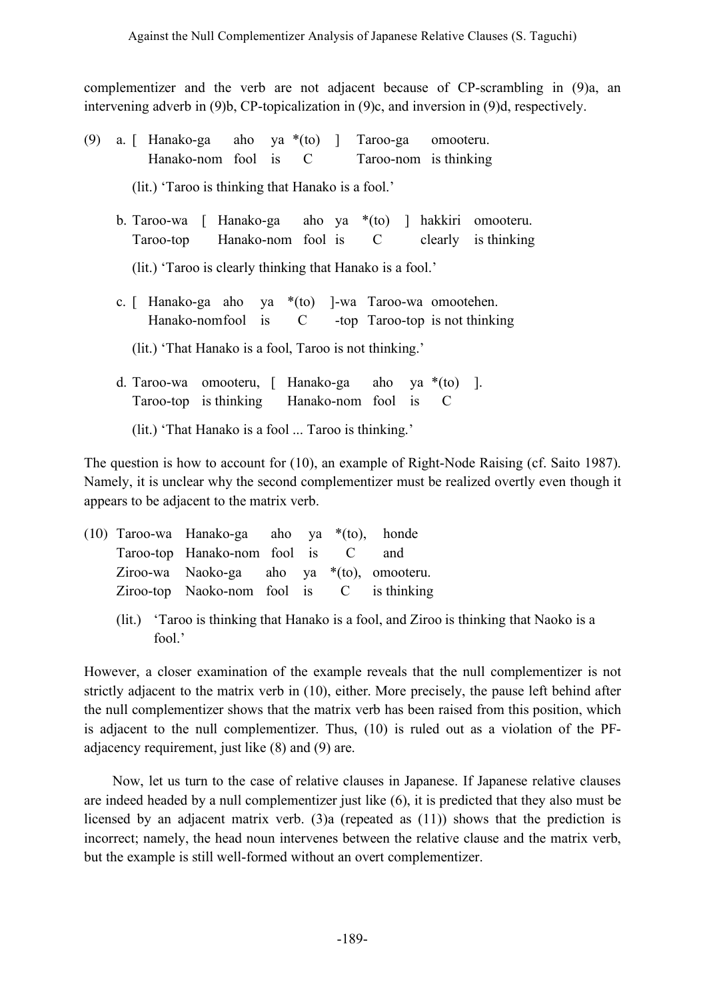complementizer and the verb are not adjacent because of CP-scrambling in (9)a, an intervening adverb in (9)b, CP-topicalization in (9)c, and inversion in (9)d, respectively.

- (9) a. [ Hanako-ga aho ya \*(to) ] Taroo-ga omooteru. Hanako-nom fool is C Taroo-nom is thinking (lit.) 'Taroo is thinking that Hanako is a fool.' b. Taroo-wa [ Hanako-ga aho ya \*(to) ] hakkiri omooteru. Taroo-top Hanako-nom fool is C clearly is thinking (lit.) 'Taroo is clearly thinking that Hanako is a fool.'
	- c. [ Hanako-ga aho ya \*(to) ]-wa Taroo-wa omootehen. Hanako-nomfool is C -top Taroo-top is not thinking

(lit.) 'That Hanako is a fool, Taroo is not thinking.'

d. Taroo-wa omooteru, [ Hanako-ga aho ya \*(to) ]. Taroo-top is thinking Hanako-nom fool is C

(lit.) 'That Hanako is a fool ... Taroo is thinking.'

The question is how to account for (10), an example of Right-Node Raising (cf. Saito 1987). Namely, it is unclear why the second complementizer must be realized overtly even though it appears to be adjacent to the matrix verb.

- (10) Taroo-wa Hanako-ga aho ya \*(to), honde Taroo-top Hanako-nom fool is C and Ziroo-wa Naoko-ga aho ya \*(to), omooteru. Ziroo-top Naoko-nom fool is C is thinking
	- (lit.) 'Taroo is thinking that Hanako is a fool, and Ziroo is thinking that Naoko is a fool.'

However, a closer examination of the example reveals that the null complementizer is not strictly adjacent to the matrix verb in (10), either. More precisely, the pause left behind after the null complementizer shows that the matrix verb has been raised from this position, which is adjacent to the null complementizer. Thus, (10) is ruled out as a violation of the PFadjacency requirement, just like (8) and (9) are.

Now, let us turn to the case of relative clauses in Japanese. If Japanese relative clauses are indeed headed by a null complementizer just like (6), it is predicted that they also must be licensed by an adjacent matrix verb. (3)a (repeated as (11)) shows that the prediction is incorrect; namely, the head noun intervenes between the relative clause and the matrix verb, but the example is still well-formed without an overt complementizer.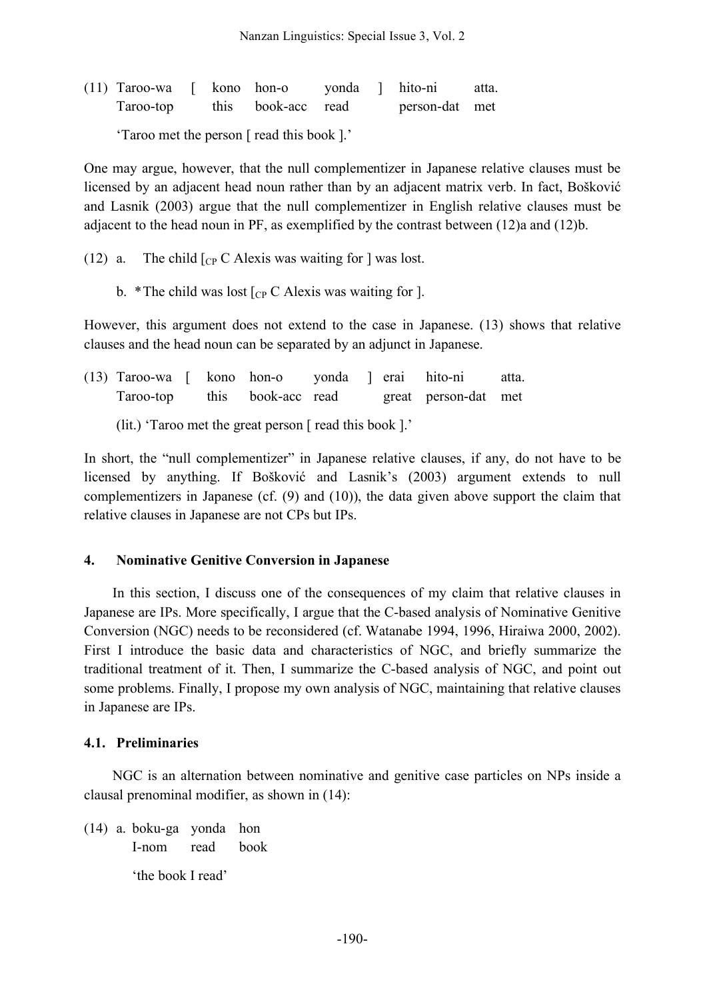| $(11)$ Taroo-wa [ kono hon-o |  |                    | yonda ] hito-ni |                | atta. |
|------------------------------|--|--------------------|-----------------|----------------|-------|
| Taroo-top                    |  | this book-acc read |                 | person-dat met |       |

'Taroo met the person [ read this book ].'

One may argue, however, that the null complementizer in Japanese relative clauses must be licensed by an adjacent head noun rather than by an adjacent matrix verb. In fact, Bošković and Lasnik (2003) argue that the null complementizer in English relative clauses must be adjacent to the head noun in PF, as exemplified by the contrast between (12)a and (12)b.

- (12) a. The child  $\lceil_{CP} C \rceil$  Alexis was waiting for  $\lceil$  was lost.
	- b. \*The child was lost  $[CP C$  Alexis was waiting for ].

However, this argument does not extend to the case in Japanese. (13) shows that relative clauses and the head noun can be separated by an adjunct in Japanese.

|           |  | (13) Taroo-wa [ kono hon-o yonda ] erai hito-ni |                    |  |  |                      | atta. |
|-----------|--|-------------------------------------------------|--------------------|--|--|----------------------|-------|
| Taroo-top |  |                                                 | this book-acc read |  |  | great person-dat met |       |

(lit.) 'Taroo met the great person [ read this book ].'

In short, the "null complementizer" in Japanese relative clauses, if any, do not have to be licensed by anything. If Bošković and Lasnik's (2003) argument extends to null complementizers in Japanese (cf. (9) and (10)), the data given above support the claim that relative clauses in Japanese are not CPs but IPs.

## **4. Nominative Genitive Conversion in Japanese**

In this section, I discuss one of the consequences of my claim that relative clauses in Japanese are IPs. More specifically, I argue that the C-based analysis of Nominative Genitive Conversion (NGC) needs to be reconsidered (cf. Watanabe 1994, 1996, Hiraiwa 2000, 2002). First I introduce the basic data and characteristics of NGC, and briefly summarize the traditional treatment of it. Then, I summarize the C-based analysis of NGC, and point out some problems. Finally, I propose my own analysis of NGC, maintaining that relative clauses in Japanese are IPs.

## **4.1. Preliminaries**

NGC is an alternation between nominative and genitive case particles on NPs inside a clausal prenominal modifier, as shown in (14):

(14) a. boku-ga yonda hon I-nom read book 'the book I read'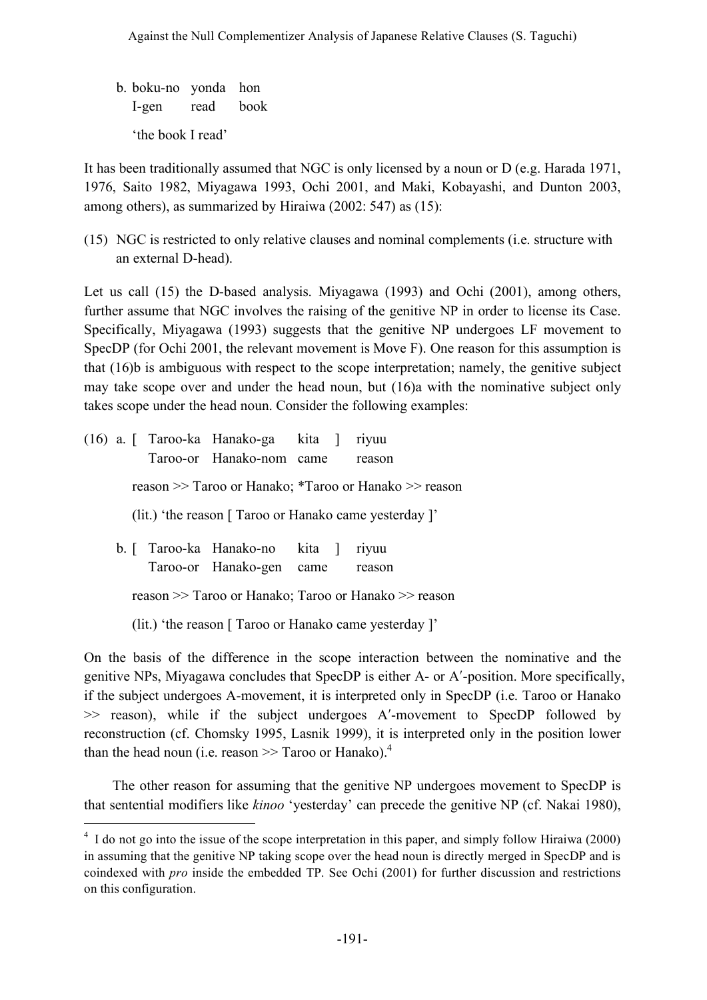b. boku-no yonda hon I-gen read book 'the book I read'

It has been traditionally assumed that NGC is only licensed by a noun or D (e.g. Harada 1971, 1976, Saito 1982, Miyagawa 1993, Ochi 2001, and Maki, Kobayashi, and Dunton 2003, among others), as summarized by Hiraiwa (2002: 547) as (15):

(15) NGC is restricted to only relative clauses and nominal complements (i.e. structure with an external D-head).

Let us call (15) the D-based analysis. Miyagawa (1993) and Ochi (2001), among others, further assume that NGC involves the raising of the genitive NP in order to license its Case. Specifically, Miyagawa (1993) suggests that the genitive NP undergoes LF movement to SpecDP (for Ochi 2001, the relevant movement is Move F). One reason for this assumption is that (16)b is ambiguous with respect to the scope interpretation; namely, the genitive subject may take scope over and under the head noun, but (16)a with the nominative subject only takes scope under the head noun. Consider the following examples:

|                                                        |  |  | (16) a. [ Taroo-ka Hanako-ga kita ] riyuu |  |  |                                                       |  |  |  |
|--------------------------------------------------------|--|--|-------------------------------------------|--|--|-------------------------------------------------------|--|--|--|
|                                                        |  |  | Taroo-or Hanako-nom came                  |  |  | reason                                                |  |  |  |
|                                                        |  |  |                                           |  |  | reason >> Taroo or Hanako; *Taroo or Hanako >> reason |  |  |  |
| (lit.) 'the reason [ Taroo or Hanako came yesterday ]' |  |  |                                           |  |  |                                                       |  |  |  |
|                                                        |  |  | b. [ Taroo-ka Hanako-no kita ]            |  |  | rivuu                                                 |  |  |  |
|                                                        |  |  | Taroo-or Hanako-gen came                  |  |  | reason                                                |  |  |  |
| reason >> Taroo or Hanako; Taroo or Hanako >> reason   |  |  |                                           |  |  |                                                       |  |  |  |
| (lit.) 'the reason [ Taroo or Hanako came yesterday ]' |  |  |                                           |  |  |                                                       |  |  |  |

On the basis of the difference in the scope interaction between the nominative and the genitive NPs, Miyagawa concludes that SpecDP is either A- or A′-position. More specifically, if the subject undergoes A-movement, it is interpreted only in SpecDP (i.e. Taroo or Hanako >> reason), while if the subject undergoes A′-movement to SpecDP followed by reconstruction (cf. Chomsky 1995, Lasnik 1999), it is interpreted only in the position lower than the head noun (i.e. reason  $\gg$  Taroo or Hanako).<sup>4</sup>

The other reason for assuming that the genitive NP undergoes movement to SpecDP is that sentential modifiers like *kinoo* 'yesterday' can precede the genitive NP (cf. Nakai 1980),

<sup>&</sup>lt;sup>4</sup> I do not go into the issue of the scope interpretation in this paper, and simply follow Hiraiwa (2000) in assuming that the genitive NP taking scope over the head noun is directly merged in SpecDP and is coindexed with *pro* inside the embedded TP. See Ochi (2001) for further discussion and restrictions on this configuration.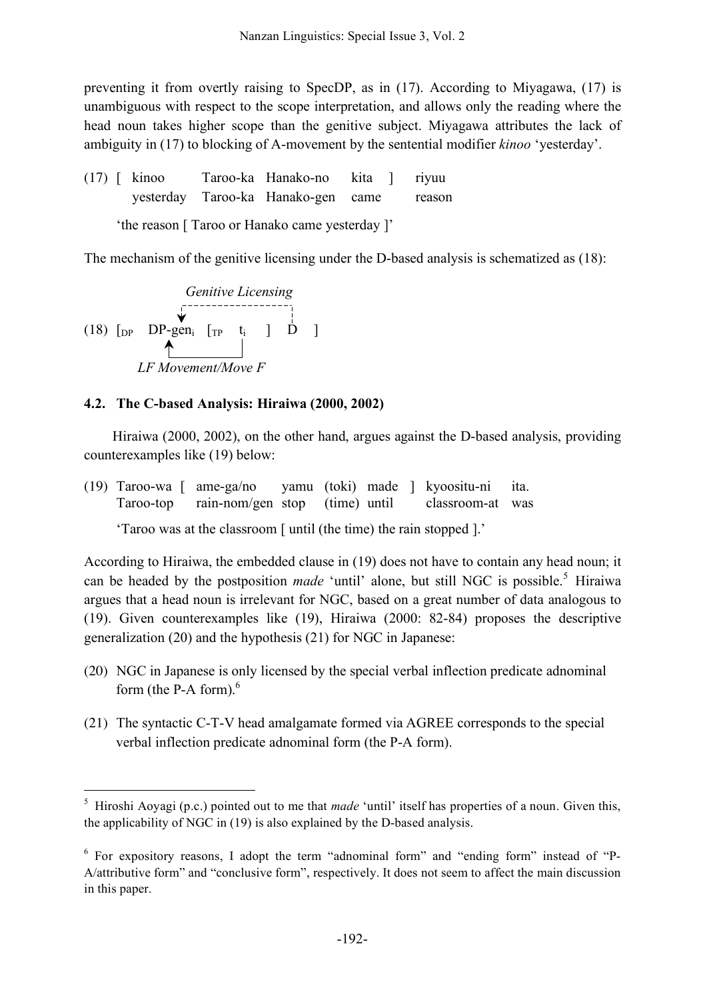preventing it from overtly raising to SpecDP, as in (17). According to Miyagawa, (17) is unambiguous with respect to the scope interpretation, and allows only the reading where the head noun takes higher scope than the genitive subject. Miyagawa attributes the lack of ambiguity in (17) to blocking of A-movement by the sentential modifier *kinoo* 'yesterday'.

(17) [ kinoo Taroo-ka Hanako-no kita ] riyuu yesterday Taroo-ka Hanako-gen came reason 'the reason [ Taroo or Hanako came yesterday ]'

The mechanism of the genitive licensing under the D-based analysis is schematized as (18):

Genitive Lieensing  
\n(18) [DP DP-gen<sub>i</sub> [TP t<sub>i</sub> ] D ]  
\n
$$
LF Movement/Move F
$$

## **4.2. The C-based Analysis: Hiraiwa (2000, 2002)**

Hiraiwa (2000, 2002), on the other hand, argues against the D-based analysis, providing counterexamples like (19) below:

(19) Taroo-wa [ ame-ga/no yamu (toki) made ] kyoositu-ni ita. Taroo-top rain-nom/gen stop (time) until classroom-at was

'Taroo was at the classroom [ until (the time) the rain stopped ].'

According to Hiraiwa, the embedded clause in (19) does not have to contain any head noun; it can be headed by the postposition *made* 'until' alone, but still NGC is possible. <sup>5</sup> Hiraiwa argues that a head noun is irrelevant for NGC, based on a great number of data analogous to (19). Given counterexamples like (19), Hiraiwa (2000: 82-84) proposes the descriptive generalization (20) and the hypothesis (21) for NGC in Japanese:

- (20) NGC in Japanese is only licensed by the special verbal inflection predicate adnominal form (the P-A form).<sup>6</sup>
- (21) The syntactic C-T-V head amalgamate formed via AGREE corresponds to the special verbal inflection predicate adnominal form (the P-A form).

 <sup>5</sup> Hiroshi Aoyagi (p.c.) pointed out to me that *made* 'until' itself has properties of a noun. Given this, the applicability of NGC in (19) is also explained by the D-based analysis.

<sup>6</sup> For expository reasons, I adopt the term "adnominal form" and "ending form" instead of "P-A/attributive form" and "conclusive form", respectively. It does not seem to affect the main discussion in this paper.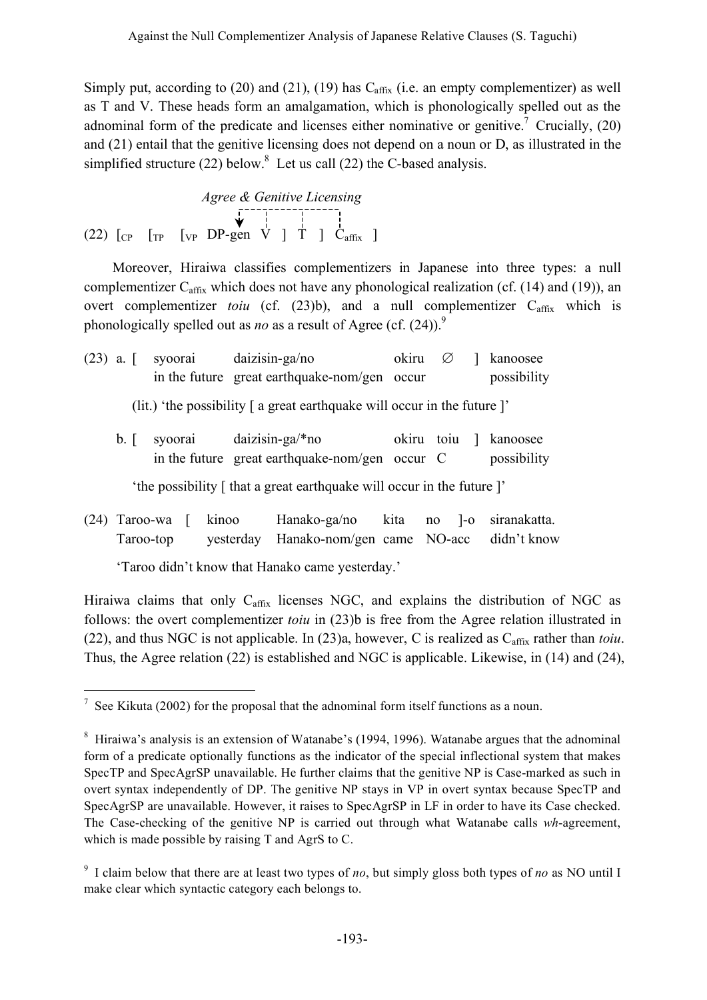Simply put, according to (20) and (21), (19) has  $C_{\text{affix}}$  (i.e. an empty complementizer) as well as T and V. These heads form an amalgamation, which is phonologically spelled out as the adnominal form of the predicate and licenses either nominative or genitive.<sup>7</sup> Crucially, (20) and (21) entail that the genitive licensing does not depend on a noun or D, as illustrated in the simplified structure (22) below.<sup>8</sup> Let us call (22) the C-based analysis.

*Agree & Genitive Licensing* (22)  $\begin{bmatrix} \text{Cr} & \text{Cr} & \text{Cr} & \text{Cr} \\ \text{Cr} & \text{Cr} & \text{Dr-gen} & \text{Cr} \end{bmatrix}$   $\begin{bmatrix} 1 \\ 1 \\ 1 \end{bmatrix}$ 

Moreover, Hiraiwa classifies complementizers in Japanese into three types: a null complementizer  $C_{\text{affix}}$  which does not have any phonological realization (cf. (14) and (19)), an overt complementizer *toiu* (cf. (23)b), and a null complementizer C<sub>affix</sub> which is phonologically spelled out as *no* as a result of Agree (cf. (24)). 9

|                                                                          |                |  |  | $(23)$ a. [ syoorai daizisin-ga/no                                          | okiru |  | 1 kanoosee                           |
|--------------------------------------------------------------------------|----------------|--|--|-----------------------------------------------------------------------------|-------|--|--------------------------------------|
|                                                                          |                |  |  | in the future great earthquake-nom/gen occur                                |       |  | possibility                          |
| (lit.) 'the possibility [ a great earthquake will occur in the future ]' |                |  |  |                                                                             |       |  |                                      |
|                                                                          | $\mathsf{b}$ . |  |  | syoorai daizisin-ga/*no<br>in the future great earthquake-nom/gen occur $C$ |       |  | okiru toju   kanoosee<br>possibility |
|                                                                          |                |  |  | 'the possibility [ that a great earthquake will occur in the future ]'      |       |  |                                      |

(24) Taroo-wa [ kinoo Hanako-ga/no kita no ]-o siranakatta. Taroo-top yesterday Hanako-nom/gen came NO-acc didn't know

'Taroo didn't know that Hanako came yesterday.'

Hiraiwa claims that only Caffix licenses NGC, and explains the distribution of NGC as follows: the overt complementizer *toiu* in (23)b is free from the Agree relation illustrated in (22), and thus NGC is not applicable. In  $(23)a$ , however, C is realized as  $C_{\text{affix}}$  rather than *toiu*. Thus, the Agree relation (22) is established and NGC is applicable. Likewise, in (14) and (24),

 $\frac{7}{1}$  See Kikuta (2002) for the proposal that the adnominal form itself functions as a noun.

<sup>8</sup> Hiraiwa's analysis is an extension of Watanabe's (1994, 1996). Watanabe argues that the adnominal form of a predicate optionally functions as the indicator of the special inflectional system that makes SpecTP and SpecAgrSP unavailable. He further claims that the genitive NP is Case-marked as such in overt syntax independently of DP. The genitive NP stays in VP in overt syntax because SpecTP and SpecAgrSP are unavailable. However, it raises to SpecAgrSP in LF in order to have its Case checked. The Case-checking of the genitive NP is carried out through what Watanabe calls *wh*-agreement, which is made possible by raising T and AgrS to C.

<sup>9</sup> I claim below that there are at least two types of *no*, but simply gloss both types of *no* as NO until I make clear which syntactic category each belongs to.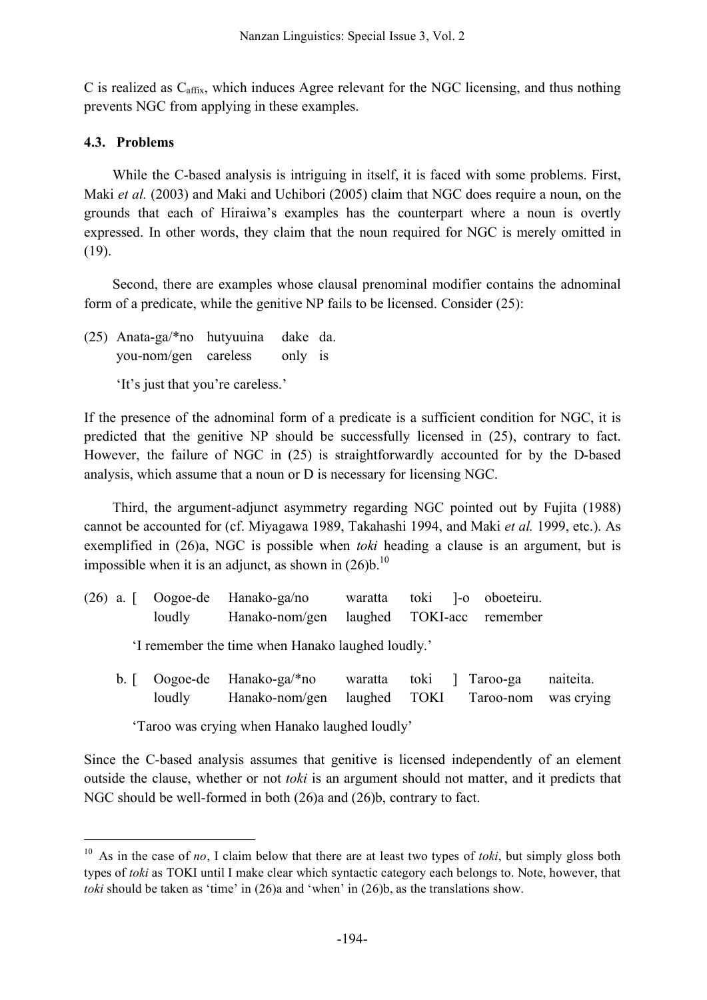C is realized as  $C_{\text{affix}}$ , which induces Agree relevant for the NGC licensing, and thus nothing prevents NGC from applying in these examples.

# **4.3. Problems**

While the C-based analysis is intriguing in itself, it is faced with some problems. First, Maki *et al.* (2003) and Maki and Uchibori (2005) claim that NGC does require a noun, on the grounds that each of Hiraiwa's examples has the counterpart where a noun is overtly expressed. In other words, they claim that the noun required for NGC is merely omitted in (19).

Second, there are examples whose clausal prenominal modifier contains the adnominal form of a predicate, while the genitive NP fails to be licensed. Consider (25):

(25) Anata-ga/\*no hutyuuina dake da. you-nom/gen careless only is

'It's just that you're careless.'

If the presence of the adnominal form of a predicate is a sufficient condition for NGC, it is predicted that the genitive NP should be successfully licensed in (25), contrary to fact. However, the failure of NGC in (25) is straightforwardly accounted for by the D-based analysis, which assume that a noun or D is necessary for licensing NGC.

Third, the argument-adjunct asymmetry regarding NGC pointed out by Fujita (1988) cannot be accounted for (cf. Miyagawa 1989, Takahashi 1994, and Maki *et al.* 1999, etc.). As exemplified in (26)a, NGC is possible when *toki* heading a clause is an argument, but is impossible when it is an adjunct, as shown in  $(26)b$ .<sup>10</sup>

|                                               |                    | $(26)$ a. [ Oogoe-de Hanako-ga/no                 | waratta                 |                      | toki l-o oboeteiru.       |                         |  |  |  |
|-----------------------------------------------|--------------------|---------------------------------------------------|-------------------------|----------------------|---------------------------|-------------------------|--|--|--|
|                                               | loudly             | Hanako-nom/gen                                    |                         |                      | laughed TOKI-acc remember |                         |  |  |  |
|                                               |                    | 'I remember the time when Hanako laughed loudly.' |                         |                      |                           |                         |  |  |  |
| b.                                            | Oogoe-de<br>loudly | Hanako-ga/*no<br>Hanako-nom/gen                   | waratta<br>laughed TOKI | toki<br>$\mathbf{I}$ | Taroo-ga<br>Taroo-nom     | naiteita.<br>was crying |  |  |  |
| 'Taroo was crying when Hanako laughed loudly' |                    |                                                   |                         |                      |                           |                         |  |  |  |

Since the C-based analysis assumes that genitive is licensed independently of an element outside the clause, whether or not *toki* is an argument should not matter, and it predicts that NGC should be well-formed in both (26)a and (26)b, contrary to fact.

 <sup>10</sup> As in the case of *no*, I claim below that there are at least two types of *toki*, but simply gloss both types of *toki* as TOKI until I make clear which syntactic category each belongs to. Note, however, that *toki* should be taken as 'time' in (26)a and 'when' in (26)b, as the translations show.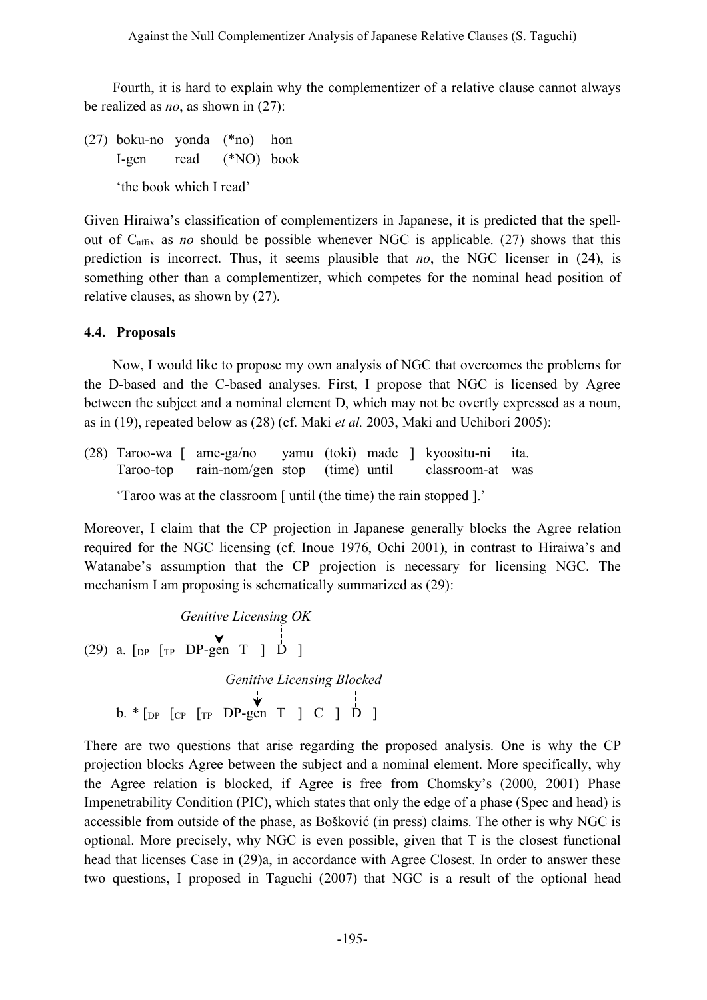Fourth, it is hard to explain why the complementizer of a relative clause cannot always be realized as *no*, as shown in (27):

(27) boku-no yonda (\*no) hon I-gen read (\*NO) book 'the book which I read'

Given Hiraiwa's classification of complementizers in Japanese, it is predicted that the spellout of Caffix as *no* should be possible whenever NGC is applicable. (27) shows that this prediction is incorrect. Thus, it seems plausible that *no*, the NGC licenser in (24), is something other than a complementizer, which competes for the nominal head position of relative clauses, as shown by (27).

# **4.4. Proposals**

Now, I would like to propose my own analysis of NGC that overcomes the problems for the D-based and the C-based analyses. First, I propose that NGC is licensed by Agree between the subject and a nominal element D, which may not be overtly expressed as a noun, as in (19), repeated below as (28) (cf. Maki *et al.* 2003, Maki and Uchibori 2005):

(28) Taroo-wa [ ame-ga/no yamu (toki) made ] kyoositu-ni ita. Taroo-top rain-nom/gen stop (time) until classroom-at was 'Taroo was at the classroom [ until (the time) the rain stopped ].'

Moreover, I claim that the CP projection in Japanese generally blocks the Agree relation required for the NGC licensing (cf. Inoue 1976, Ochi 2001), in contrast to Hiraiwa's and Watanabe's assumption that the CP projection is necessary for licensing NGC. The mechanism I am proposing is schematically summarized as (29):

*Genitive Licensing OK* (29) a.  $\lbrack$  [DP  $\lfloor$  TP  $\rfloor$  DP  $\lfloor$  TP  $\rfloor$   $\rfloor$   $\rfloor$ *Genitive Licensing Blocked* b.  $*$  [<sub>DP</sub> [<sub>CP</sub> [<sub>TP</sub> DP-gen T ] C ]  $\overline{D}$  ]

There are two questions that arise regarding the proposed analysis. One is why the CP projection blocks Agree between the subject and a nominal element. More specifically, why the Agree relation is blocked, if Agree is free from Chomsky's (2000, 2001) Phase Impenetrability Condition (PIC), which states that only the edge of a phase (Spec and head) is accessible from outside of the phase, as Bošković (in press) claims. The other is why NGC is optional. More precisely, why NGC is even possible, given that T is the closest functional head that licenses Case in (29)a, in accordance with Agree Closest. In order to answer these two questions, I proposed in Taguchi (2007) that NGC is a result of the optional head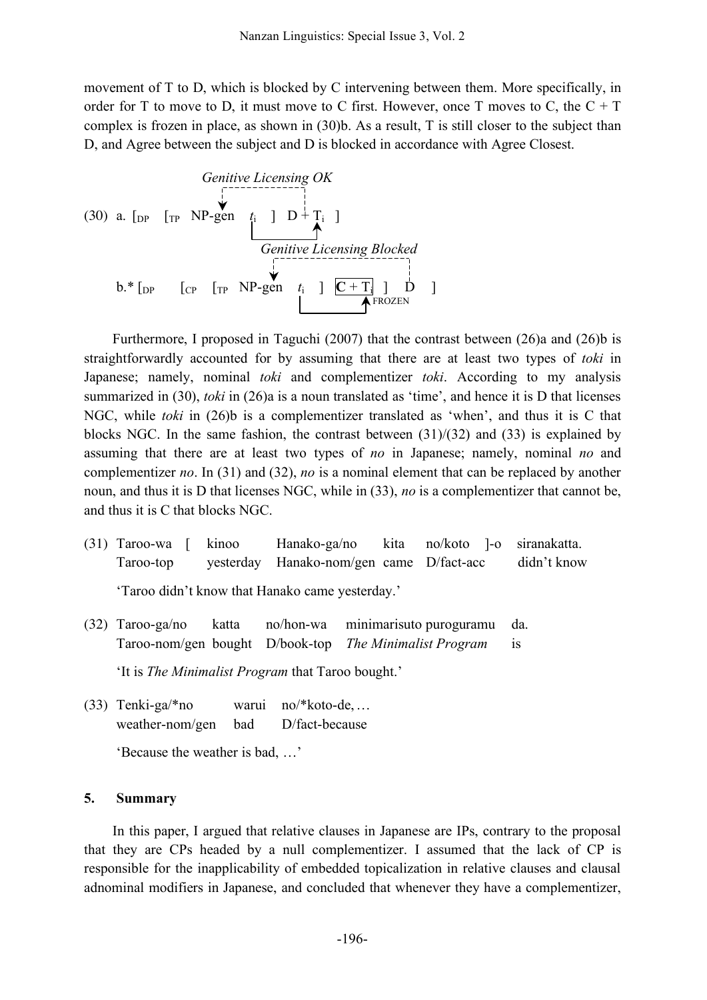movement of T to D, which is blocked by C intervening between them. More specifically, in order for T to move to D, it must move to C first. However, once T moves to C, the  $C + T$ complex is frozen in place, as shown in (30)b. As a result, T is still closer to the subject than D, and Agree between the subject and D is blocked in accordance with Agree Closest.

Genitive Lieensing OK  
\n(30) a. [DP [TP NP-gen 
$$
t_i
$$
] D+T<sub>i</sub> ]  
\nGenitive Lieensing Blocked  
\nb.\* [DP [CP [TP NP-gen  $t_i$ ] C+T<sub>i</sub>] D  
\nHence Licensing Blocked

Furthermore, I proposed in Taguchi (2007) that the contrast between (26)a and (26)b is straightforwardly accounted for by assuming that there are at least two types of *toki* in Japanese; namely, nominal *toki* and complementizer *toki*. According to my analysis summarized in (30), *toki* in (26)a is a noun translated as 'time', and hence it is D that licenses NGC, while *toki* in (26)b is a complementizer translated as 'when', and thus it is C that blocks NGC. In the same fashion, the contrast between  $(31)/(32)$  and  $(33)$  is explained by assuming that there are at least two types of *no* in Japanese; namely, nominal *no* and complementizer *no*. In (31) and (32), *no* is a nominal element that can be replaced by another noun, and thus it is D that licenses NGC, while in (33), *no* is a complementizer that cannot be, and thus it is C that blocks NGC.

- (31) Taroo-wa [ kinoo Hanako-ga/no kita no/koto ]-o siranakatta. Taroo-top yesterday Hanako-nom/gen came D/fact-acc didn't know 'Taroo didn't know that Hanako came yesterday.'
- (32) Taroo-ga/no katta no/hon-wa minimarisuto puroguramu da. Taroo-nom/gen bought D/book-top *The Minimalist Program* is

'It is *The Minimalist Program* that Taroo bought.'

(33) Tenki-ga/\*no warui no/\*koto-de,… weather-nom/gen bad D/fact-because

'Because the weather is bad, …'

### **5. Summary**

In this paper, I argued that relative clauses in Japanese are IPs, contrary to the proposal that they are CPs headed by a null complementizer. I assumed that the lack of CP is responsible for the inapplicability of embedded topicalization in relative clauses and clausal adnominal modifiers in Japanese, and concluded that whenever they have a complementizer,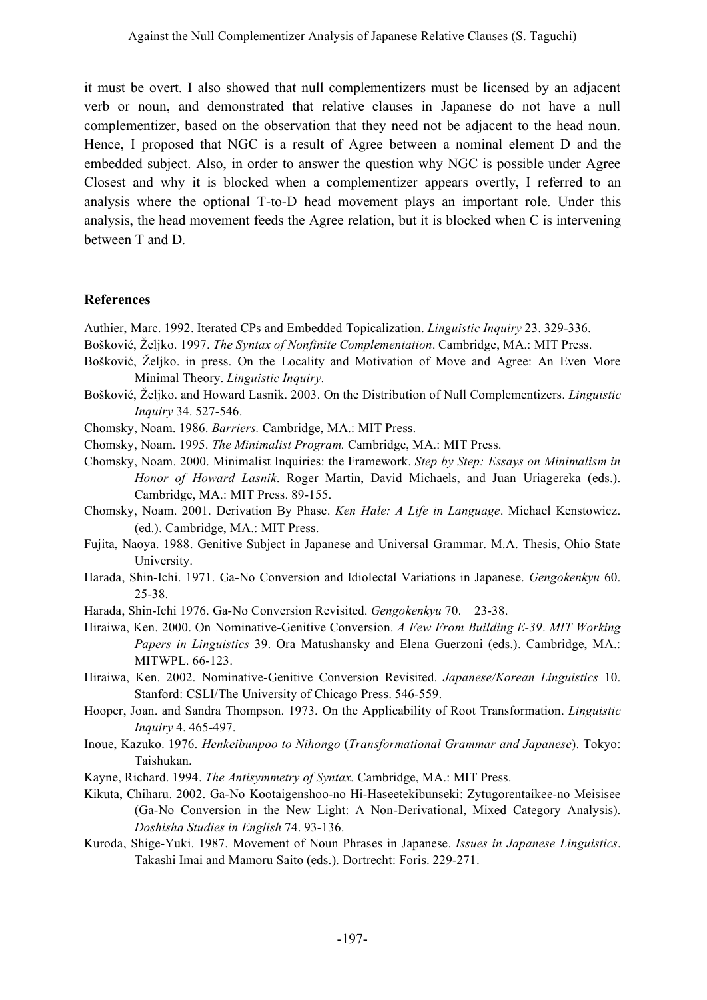it must be overt. I also showed that null complementizers must be licensed by an adjacent verb or noun, and demonstrated that relative clauses in Japanese do not have a null complementizer, based on the observation that they need not be adjacent to the head noun. Hence, I proposed that NGC is a result of Agree between a nominal element D and the embedded subject. Also, in order to answer the question why NGC is possible under Agree Closest and why it is blocked when a complementizer appears overtly, I referred to an analysis where the optional T-to-D head movement plays an important role. Under this analysis, the head movement feeds the Agree relation, but it is blocked when C is intervening between T and D.

## **References**

- Authier, Marc. 1992. Iterated CPs and Embedded Topicalization. *Linguistic Inquiry* 23. 329-336.
- Bošković, Željko. 1997. *The Syntax of Nonfinite Complementation*. Cambridge, MA.: MIT Press.
- Bošković, Željko. in press. On the Locality and Motivation of Move and Agree: An Even More Minimal Theory. *Linguistic Inquiry*.
- Bošković, Željko. and Howard Lasnik. 2003. On the Distribution of Null Complementizers. *Linguistic Inquiry* 34. 527-546.
- Chomsky, Noam. 1986. *Barriers.* Cambridge, MA.: MIT Press.
- Chomsky, Noam. 1995. *The Minimalist Program.* Cambridge, MA.: MIT Press.
- Chomsky, Noam. 2000. Minimalist Inquiries: the Framework. *Step by Step: Essays on Minimalism in Honor of Howard Lasnik*. Roger Martin, David Michaels, and Juan Uriagereka (eds.). Cambridge, MA.: MIT Press. 89-155.
- Chomsky, Noam. 2001. Derivation By Phase. *Ken Hale: A Life in Language*. Michael Kenstowicz. (ed.). Cambridge, MA.: MIT Press.
- Fujita, Naoya. 1988. Genitive Subject in Japanese and Universal Grammar. M.A. Thesis, Ohio State University.
- Harada, Shin-Ichi. 1971. Ga-No Conversion and Idiolectal Variations in Japanese. *Gengokenkyu* 60. 25-38.
- Harada, Shin-Ichi 1976. Ga-No Conversion Revisited. *Gengokenkyu* 70. 23-38.
- Hiraiwa, Ken. 2000. On Nominative-Genitive Conversion. *A Few From Building E-39*. *MIT Working Papers in Linguistics* 39. Ora Matushansky and Elena Guerzoni (eds.). Cambridge, MA.: MITWPL. 66-123.
- Hiraiwa, Ken. 2002. Nominative-Genitive Conversion Revisited. *Japanese/Korean Linguistics* 10. Stanford: CSLI/The University of Chicago Press. 546-559.
- Hooper, Joan. and Sandra Thompson. 1973. On the Applicability of Root Transformation. *Linguistic Inquiry* 4. 465-497.
- Inoue, Kazuko. 1976. *Henkeibunpoo to Nihongo* (*Transformational Grammar and Japanese*). Tokyo: Taishukan.
- Kayne, Richard. 1994. *The Antisymmetry of Syntax.* Cambridge, MA.: MIT Press.
- Kikuta, Chiharu. 2002. Ga-No Kootaigenshoo-no Hi-Haseetekibunseki: Zytugorentaikee-no Meisisee (Ga-No Conversion in the New Light: A Non-Derivational, Mixed Category Analysis). *Doshisha Studies in English* 74. 93-136.
- Kuroda, Shige-Yuki. 1987. Movement of Noun Phrases in Japanese. *Issues in Japanese Linguistics*. Takashi Imai and Mamoru Saito (eds.). Dortrecht: Foris. 229-271.